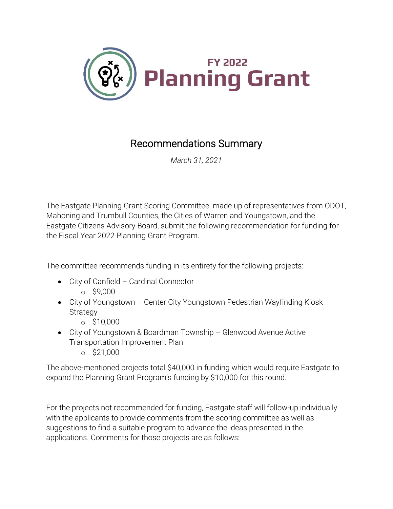

## Recommendations Summary

*March 31, 2021*

The Eastgate Planning Grant Scoring Committee, made up of representatives from ODOT, Mahoning and Trumbull Counties, the Cities of Warren and Youngstown, and the Eastgate Citizens Advisory Board, submit the following recommendation for funding for the Fiscal Year 2022 Planning Grant Program.

The committee recommends funding in its entirety for the following projects:

- City of Canfield Cardinal Connector
	- o \$9,000
- City of Youngstown Center City Youngstown Pedestrian Wayfinding Kiosk **Strategy** 
	- o \$10,000
- City of Youngstown & Boardman Township Glenwood Avenue Active Transportation Improvement Plan
	- o \$21,000

The above-mentioned projects total \$40,000 in funding which would require Eastgate to expand the Planning Grant Program's funding by \$10,000 for this round.

For the projects not recommended for funding, Eastgate staff will follow-up individually with the applicants to provide comments from the scoring committee as well as suggestions to find a suitable program to advance the ideas presented in the applications. Comments for those projects are as follows: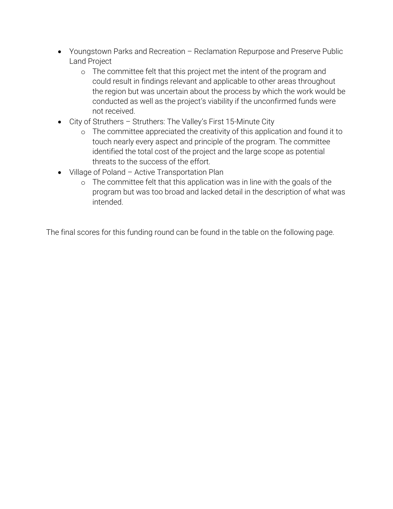- Youngstown Parks and Recreation Reclamation Repurpose and Preserve Public Land Project
	- o The committee felt that this project met the intent of the program and could result in findings relevant and applicable to other areas throughout the region but was uncertain about the process by which the work would be conducted as well as the project's viability if the unconfirmed funds were not received.
- City of Struthers Struthers: The Valley's First 15-Minute City
	- o The committee appreciated the creativity of this application and found it to touch nearly every aspect and principle of the program. The committee identified the total cost of the project and the large scope as potential threats to the success of the effort.
- Village of Poland Active Transportation Plan
	- o The committee felt that this application was in line with the goals of the program but was too broad and lacked detail in the description of what was intended.

The final scores for this funding round can be found in the table on the following page.